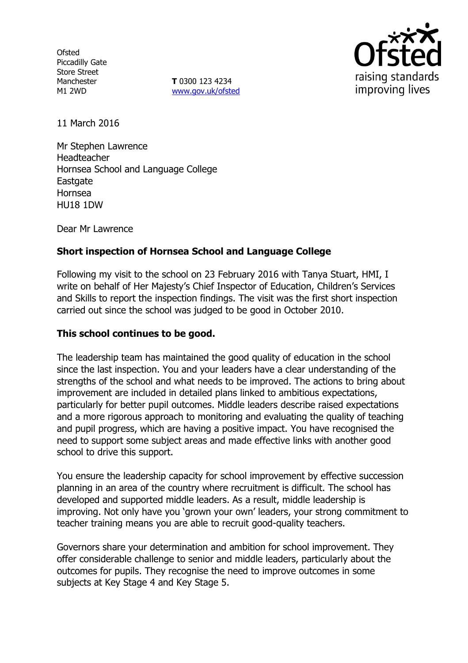**Ofsted** Piccadilly Gate Store Street Manchester M1 2WD

**T** 0300 123 4234 www.gov.uk/ofsted



11 March 2016

Mr Stephen Lawrence Headteacher Hornsea School and Language College Eastgate Hornsea HU18 1DW

Dear Mr Lawrence

## **Short inspection of Hornsea School and Language College**

Following my visit to the school on 23 February 2016 with Tanya Stuart, HMI, I write on behalf of Her Majesty's Chief Inspector of Education, Children's Services and Skills to report the inspection findings. The visit was the first short inspection carried out since the school was judged to be good in October 2010.

#### **This school continues to be good.**

The leadership team has maintained the good quality of education in the school since the last inspection. You and your leaders have a clear understanding of the strengths of the school and what needs to be improved. The actions to bring about improvement are included in detailed plans linked to ambitious expectations, particularly for better pupil outcomes. Middle leaders describe raised expectations and a more rigorous approach to monitoring and evaluating the quality of teaching and pupil progress, which are having a positive impact. You have recognised the need to support some subject areas and made effective links with another good school to drive this support.

You ensure the leadership capacity for school improvement by effective succession planning in an area of the country where recruitment is difficult. The school has developed and supported middle leaders. As a result, middle leadership is improving. Not only have you 'grown your own' leaders, your strong commitment to teacher training means you are able to recruit good-quality teachers.

Governors share your determination and ambition for school improvement. They offer considerable challenge to senior and middle leaders, particularly about the outcomes for pupils. They recognise the need to improve outcomes in some subjects at Key Stage 4 and Key Stage 5.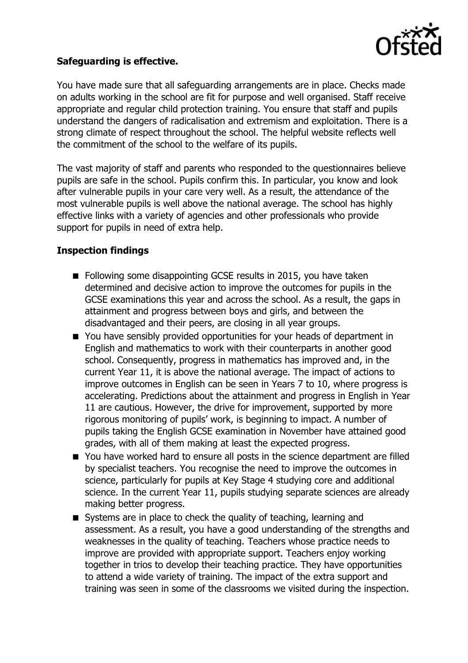

# **Safeguarding is effective.**

You have made sure that all safeguarding arrangements are in place. Checks made on adults working in the school are fit for purpose and well organised. Staff receive appropriate and regular child protection training. You ensure that staff and pupils understand the dangers of radicalisation and extremism and exploitation. There is a strong climate of respect throughout the school. The helpful website reflects well the commitment of the school to the welfare of its pupils.

The vast majority of staff and parents who responded to the questionnaires believe pupils are safe in the school. Pupils confirm this. In particular, you know and look after vulnerable pupils in your care very well. As a result, the attendance of the most vulnerable pupils is well above the national average. The school has highly effective links with a variety of agencies and other professionals who provide support for pupils in need of extra help.

## **Inspection findings**

- Following some disappointing GCSE results in 2015, you have taken determined and decisive action to improve the outcomes for pupils in the GCSE examinations this year and across the school. As a result, the gaps in attainment and progress between boys and girls, and between the disadvantaged and their peers, are closing in all year groups.
- You have sensibly provided opportunities for your heads of department in English and mathematics to work with their counterparts in another good school. Consequently, progress in mathematics has improved and, in the current Year 11, it is above the national average. The impact of actions to improve outcomes in English can be seen in Years 7 to 10, where progress is accelerating. Predictions about the attainment and progress in English in Year 11 are cautious. However, the drive for improvement, supported by more rigorous monitoring of pupils' work, is beginning to impact. A number of pupils taking the English GCSE examination in November have attained good grades, with all of them making at least the expected progress.
- You have worked hard to ensure all posts in the science department are filled by specialist teachers. You recognise the need to improve the outcomes in science, particularly for pupils at Key Stage 4 studying core and additional science. In the current Year 11, pupils studying separate sciences are already making better progress.
- Systems are in place to check the quality of teaching, learning and assessment. As a result, you have a good understanding of the strengths and weaknesses in the quality of teaching. Teachers whose practice needs to improve are provided with appropriate support. Teachers enjoy working together in trios to develop their teaching practice. They have opportunities to attend a wide variety of training. The impact of the extra support and training was seen in some of the classrooms we visited during the inspection.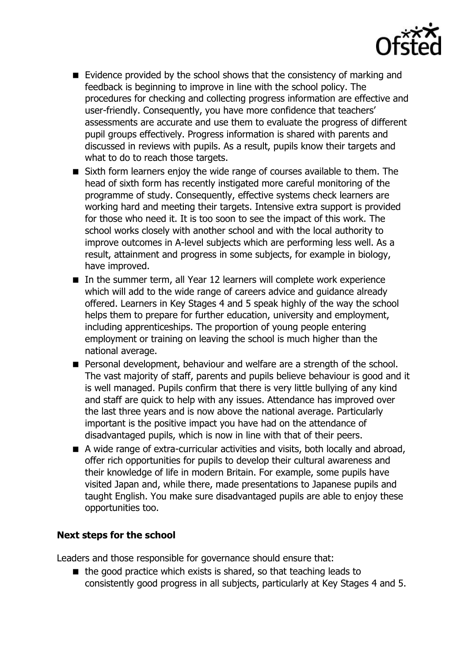

- $\blacksquare$  Evidence provided by the school shows that the consistency of marking and feedback is beginning to improve in line with the school policy. The procedures for checking and collecting progress information are effective and user-friendly. Consequently, you have more confidence that teachers' assessments are accurate and use them to evaluate the progress of different pupil groups effectively. Progress information is shared with parents and discussed in reviews with pupils. As a result, pupils know their targets and what to do to reach those targets.
- Sixth form learners enjoy the wide range of courses available to them. The head of sixth form has recently instigated more careful monitoring of the programme of study. Consequently, effective systems check learners are working hard and meeting their targets. Intensive extra support is provided for those who need it. It is too soon to see the impact of this work. The school works closely with another school and with the local authority to improve outcomes in A-level subjects which are performing less well. As a result, attainment and progress in some subjects, for example in biology, have improved.
- In the summer term, all Year 12 learners will complete work experience which will add to the wide range of careers advice and guidance already offered. Learners in Key Stages 4 and 5 speak highly of the way the school helps them to prepare for further education, university and employment, including apprenticeships. The proportion of young people entering employment or training on leaving the school is much higher than the national average.
- **Personal development, behaviour and welfare are a strength of the school.** The vast majority of staff, parents and pupils believe behaviour is good and it is well managed. Pupils confirm that there is very little bullying of any kind and staff are quick to help with any issues. Attendance has improved over the last three years and is now above the national average. Particularly important is the positive impact you have had on the attendance of disadvantaged pupils, which is now in line with that of their peers.
- A wide range of extra-curricular activities and visits, both locally and abroad, offer rich opportunities for pupils to develop their cultural awareness and their knowledge of life in modern Britain. For example, some pupils have visited Japan and, while there, made presentations to Japanese pupils and taught English. You make sure disadvantaged pupils are able to enjoy these opportunities too.

# **Next steps for the school**

Leaders and those responsible for governance should ensure that:

 $\blacksquare$  the good practice which exists is shared, so that teaching leads to consistently good progress in all subjects, particularly at Key Stages 4 and 5.